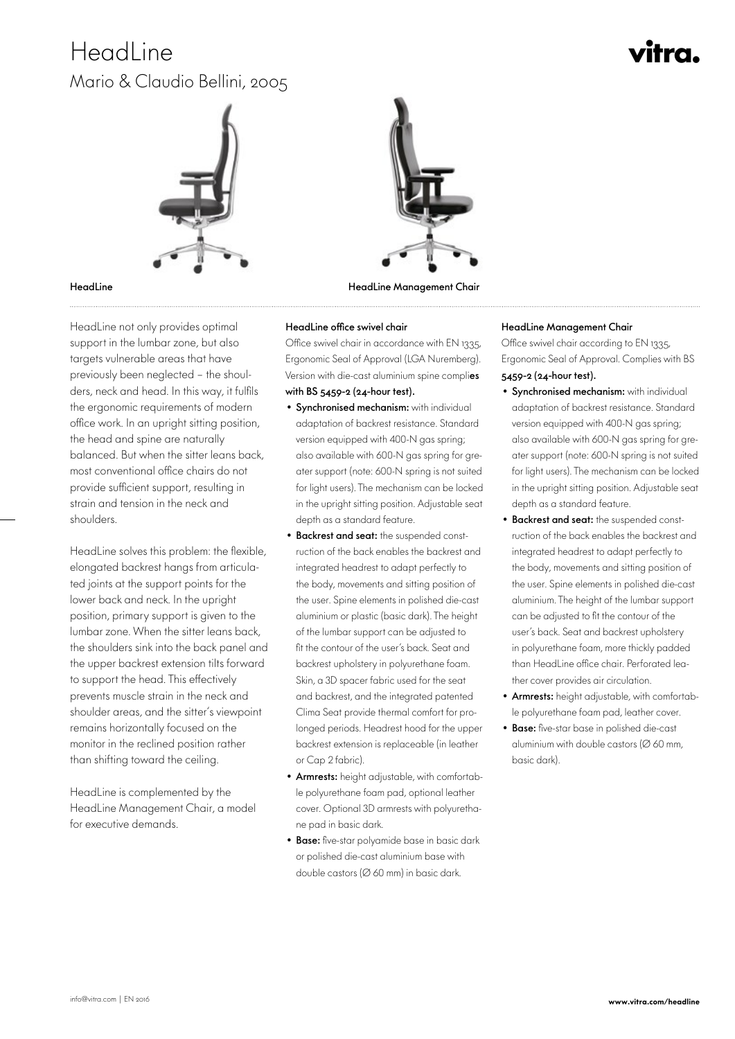# HeadLine Mario & Claudio Bellini, 2005

# vitra.



 HeadLine not only provides optimal support in the lumbar zone, but also targets vulnerable areas that have previously been neglected – the shoulders, neck and head. In this way, it fulfils the ergonomic requirements of modern office work. In an upright sitting position, the head and spine are naturally balanced. But when the sitter leans back, most conventional office chairs do not provide sufficient support, resulting in strain and tension in the neck and shoulders.

HeadLine solves this problem: the flexible, elongated backrest hangs from articulated joints at the support points for the lower back and neck. In the upright position, primary support is given to the lumbar zone. When the sitter leans back, the shoulders sink into the back panel and the upper backrest extension tilts forward to support the head. This effectively prevents muscle strain in the neck and shoulder areas, and the sitter's viewpoint remains horizontally focused on the monitor in the reclined position rather than shifting toward the ceiling.

HeadLine is complemented by the HeadLine Management Chair, a model for executive demands.



HeadLine HeadLine Management Chair

Office swivel chair in accordance with EN 1335, Ergonomic Seal of Approval (LGA Nuremberg). Version with die-cast aluminium spine complies with BS 5459-2 (24-hour test).

- Synchronised mechanism: with individual adaptation of backrest resistance. Standard version equipped with 400-N gas spring; also available with 600-N gas spring for greater support (note: 600-N spring is not suited for light users). The mechanism can be locked in the upright sitting position. Adjustable seat depth as a standard feature.
- Backrest and seat: the suspended construction of the back enables the backrest and integrated headrest to adapt perfectly to the body, movements and sitting position of the user. Spine elements in polished die-cast aluminium or plastic (basic dark). The height of the lumbar support can be adjusted to fit the contour of the user's back. Seat and backrest upholstery in polyurethane foam. Skin, a 3D spacer fabric used for the seat and backrest, and the integrated patented Clima Seat provide thermal comfort for prolonged periods. Headrest hood for the upper backrest extension is replaceable (in leather or Cap 2 fabric).
- Armrests: height adjustable, with comfortable polyurethane foam pad, optional leather cover. Optional 3D armrests with polyurethane pad in basic dark.
- Base: five-star polyamide base in basic dark or polished die-cast aluminium base with double castors (Ø 60 mm) in basic dark.

### HeadLine office swivel chair **HeadLine Management Chair**

Office swivel chair according to EN 1335, Ergonomic Seal of Approval. Complies with BS 5459-2 (24-hour test).

- Synchronised mechanism: with individual adaptation of backrest resistance. Standard version equipped with 400-N gas spring; also available with 600-N gas spring for greater support (note: 600-N spring is not suited for light users). The mechanism can be locked in the upright sitting position. Adjustable seat depth as a standard feature.
- Backrest and seat: the suspended construction of the back enables the backrest and integrated headrest to adapt perfectly to the body, movements and sitting position of the user. Spine elements in polished die-cast aluminium. The height of the lumbar support can be adjusted to fit the contour of the user's back. Seat and backrest upholstery in polyurethane foam, more thickly padded than HeadLine office chair. Perforated leather cover provides air circulation.
- Armrests: height adjustable, with comfortable polyurethane foam pad, leather cover.
- Base: five-star base in polished die-cast aluminium with double castors ( $\varnothing$  60 mm, basic dark).